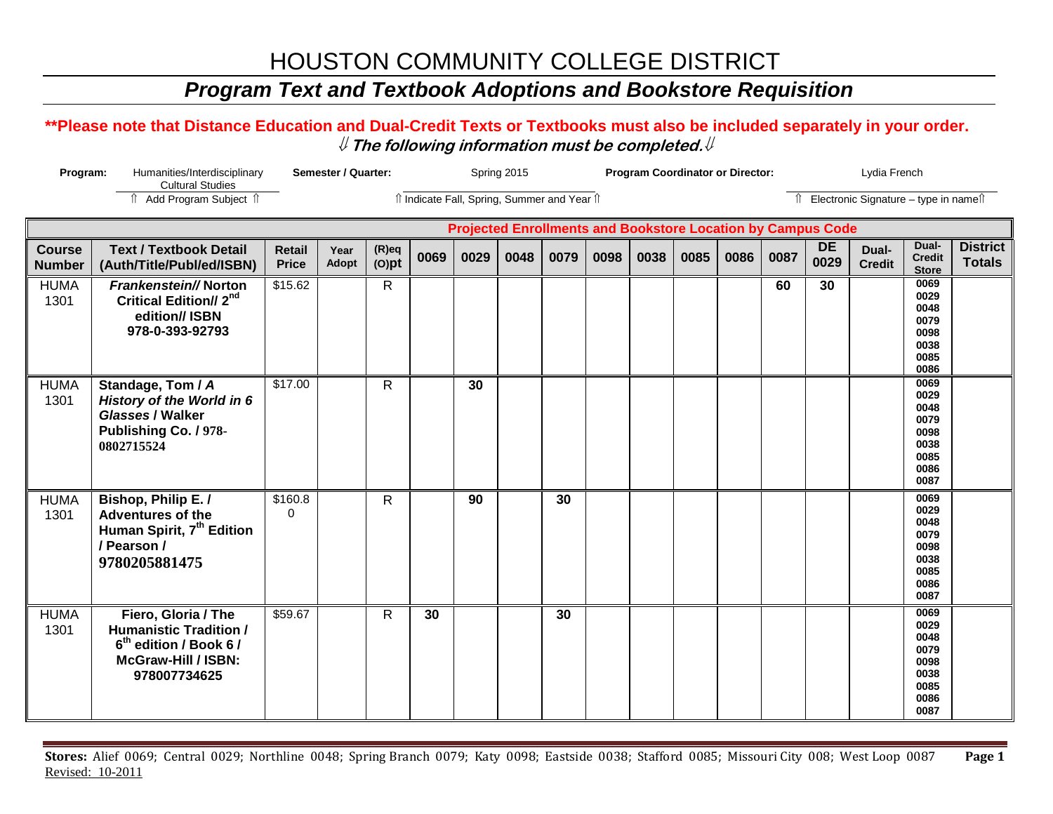# HOUSTON COMMUNITY COLLEGE DISTRICT

## *Program Text and Textbook Adoptions and Bookstore Requisition*

### **\*\*Please note that Distance Education and Dual-Credit Texts or Textbooks must also be included separately in your order.**  ⇓ **The following information must be completed.**⇓

| Program:<br>Humanities/Interdisciplinary<br><b>Cultural Studies</b> |                                                                                                                                          | Semester / Quarter:           |                      |                                              |      | Spring 2015 |      |      |      |                                          | <b>Program Coordinator or Director:</b> |      |      | Lydia French      |                        |                                                                      |                                  |  |
|---------------------------------------------------------------------|------------------------------------------------------------------------------------------------------------------------------------------|-------------------------------|----------------------|----------------------------------------------|------|-------------|------|------|------|------------------------------------------|-----------------------------------------|------|------|-------------------|------------------------|----------------------------------------------------------------------|----------------------------------|--|
|                                                                     | fî Add Program Subject î                                                                                                                 |                               |                      | îl Indicate Fall, Spring, Summer and Year îl |      |             |      |      |      | Îl Electronic Signature - type in nameîl |                                         |      |      |                   |                        |                                                                      |                                  |  |
| <b>Projected Enrollments and Bookstore Location by Campus Code</b>  |                                                                                                                                          |                               |                      |                                              |      |             |      |      |      |                                          |                                         |      |      |                   |                        |                                                                      |                                  |  |
| <b>Course</b><br><b>Number</b>                                      | <b>Text / Textbook Detail</b><br>(Auth/Title/Publ/ed/ISBN)                                                                               | <b>Retail</b><br><b>Price</b> | Year<br><b>Adopt</b> | $(R)$ eq<br>$(O)$ pt                         | 0069 | 0029        | 0048 | 0079 | 0098 | 0038                                     | 0085                                    | 0086 | 0087 | <b>DE</b><br>0029 | Dual-<br><b>Credit</b> | Dual-<br><b>Credit</b><br><b>Store</b>                               | <b>District</b><br><b>Totals</b> |  |
| <b>HUMA</b><br>1301                                                 | Frankenstein//Norton<br><b>Critical Edition// 2nd</b><br>edition// ISBN<br>978-0-393-92793                                               | \$15.62                       |                      | R.                                           |      |             |      |      |      |                                          |                                         |      | 60   | 30                |                        | 0069<br>0029<br>0048<br>0079<br>0098<br>0038<br>0085<br>0086         |                                  |  |
| <b>HUMA</b><br>1301                                                 | Standage, Tom / A<br>History of the World in 6<br>Glasses / Walker<br>Publishing Co. / 978-<br>0802715524                                | \$17.00                       |                      | R                                            |      | 30          |      |      |      |                                          |                                         |      |      |                   |                        | 0069<br>0029<br>0048<br>0079<br>0098<br>0038<br>0085<br>0086<br>0087 |                                  |  |
| <b>HUMA</b><br>1301                                                 | Bishop, Philip E./<br><b>Adventures of the</b><br>Human Spirit, 7 <sup>th</sup> Edition<br>/ Pearson /<br>9780205881475                  | \$160.8<br>$\Omega$           |                      | $\mathsf{R}$                                 |      | 90          |      | 30   |      |                                          |                                         |      |      |                   |                        | 0069<br>0029<br>0048<br>0079<br>0098<br>0038<br>0085<br>0086<br>0087 |                                  |  |
| <b>HUMA</b><br>1301                                                 | Fiero, Gloria / The<br><b>Humanistic Tradition /</b><br>6 <sup>th</sup> edition / Book 6 /<br><b>McGraw-Hill / ISBN:</b><br>978007734625 | \$59.67                       |                      | R                                            | 30   |             |      | 30   |      |                                          |                                         |      |      |                   |                        | 0069<br>0029<br>0048<br>0079<br>0098<br>0038<br>0085<br>0086<br>0087 |                                  |  |